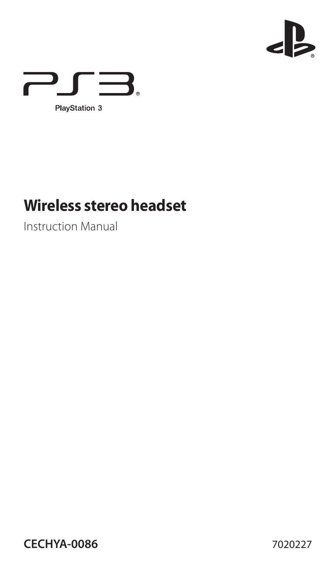



# **Wireless stereo headset**

Instruction Manual

**CECHYA-0086** 7020227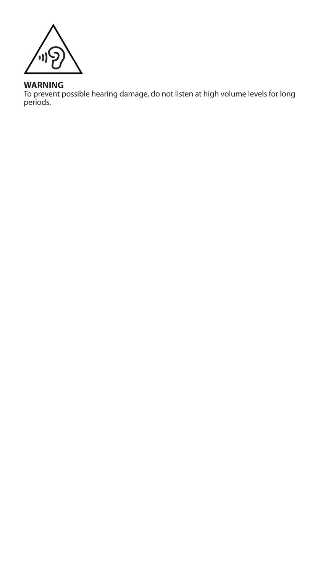

**WARNING**<br>To prevent possible hearing damage, do not listen at high volume levels for long<br>periods.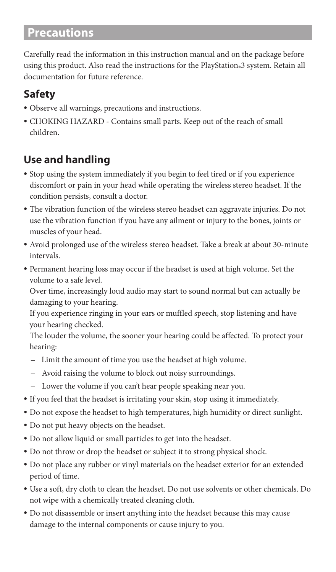# **Precautions**

Carefully read the information in this instruction manual and on the package before using this product. Also read the instructions for the PlayStation®3 system. Retain all documentation for future reference.

# **Safety**

- ˎ Observe all warnings, precautions and instructions.
- ˎ CHOKING HAZARD Contains small parts. Keep out of the reach of small children.

# **Use and handling**

- ˎ Stop using the system immediately if you begin to feel tired or if you experience discomfort or pain in your head while operating the wireless stereo headset. If the condition persists, consult a doctor.
- ˎ The vibration function of the wireless stereo headset can aggravate injuries. Do not use the vibration function if you have any ailment or injury to the bones, joints or muscles of your head.
- ˎ Avoid prolonged use of the wireless stereo headset. Take a break at about 30-minute intervals.
- ˎ Permanent hearing loss may occur if the headset is used at high volume. Set the volume to a safe level.

Over time, increasingly loud audio may start to sound normal but can actually be damaging to your hearing.

If you experience ringing in your ears or muffled speech, stop listening and have your hearing checked.

The louder the volume, the sooner your hearing could be affected. To protect your hearing:

- Limit the amount of time you use the headset at high volume.
- Avoid raising the volume to block out noisy surroundings.
- Lower the volume if you can't hear people speaking near you.
- ˎ If you feel that the headset is irritating your skin, stop using it immediately.
- ˎ Do not expose the headset to high temperatures, high humidity or direct sunlight.
- ˎ Do not put heavy objects on the headset.
- ˎ Do not allow liquid or small particles to get into the headset.
- ˎ Do not throw or drop the headset or subject it to strong physical shock.
- ˎ Do not place any rubber or vinyl materials on the headset exterior for an extended period of time.
- ˎ Use a soft, dry cloth to clean the headset. Do not use solvents or other chemicals. Do not wipe with a chemically treated cleaning cloth.
- ˎ Do not disassemble or insert anything into the headset because this may cause damage to the internal components or cause injury to you.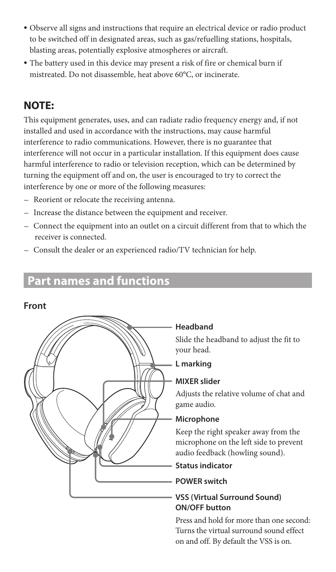- ˎ Observe all signs and instructions that require an electrical device or radio product to be switched off in designated areas, such as gas/refuelling stations, hospitals, blasting areas, potentially explosive atmospheres or aircraft.
- ˎ The battery used in this device may present a risk of fire or chemical burn if mistreated. Do not disassemble, heat above 60°C, or incinerate.

# **NOTE:**

This equipment generates, uses, and can radiate radio frequency energy and, if not installed and used in accordance with the instructions, may cause harmful interference to radio communications. However, there is no guarantee that interference will not occur in a particular installation. If this equipment does cause harmful interference to radio or television reception, which can be determined by turning the equipment off and on, the user is encouraged to try to correct the interference by one or more of the following measures:

- Reorient or relocate the receiving antenna.
- Increase the distance between the equipment and receiver.
- Connect the equipment into an outlet on a circuit different from that to which the receiver is connected.
- Consult the dealer or an experienced radio/TV technician for help.

# **Part names and functions**

#### **Front**



#### **Headband**

Slide the headband to adjust the fit to your head.

#### **L marking**

#### **MIXER slider**

Adjusts the relative volume of chat and game audio.

#### **Microphone**

Keep the right speaker away from the microphone on the left side to prevent audio feedback (howling sound).

#### **Status indicator**

#### **POWER switch**

#### **VSS (Virtual Surround Sound) ON/OFF button**

Press and hold for more than one second: Turns the virtual surround sound effect on and off. By default the VSS is on.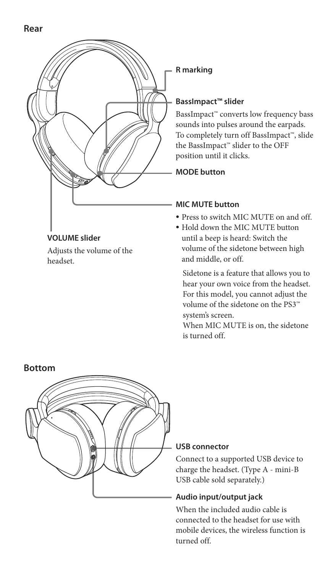

Adjusts the volume of the

headset.

### **R marking**

#### **BassImpact™ slider**

BassImpact™ converts low frequency bass sounds into pulses around the earpads. To completely turn off BassImpact™, slide the BassImpact™ slider to the OFF position until it clicks.

**MODE button**

#### **MIC MUTE button**

- ˎ Press to switch MIC MUTE on and off.
- ˎ Hold down the MIC MUTE button until a beep is heard: Switch the volume of the sidetone between high and middle, or off.

 Sidetone is a feature that allows you to hear your own voice from the headset. For this model, you cannot adjust the volume of the sidetone on the PS3™ system's screen.

When MIC MUTE is on, the sidetone is turned off.



#### **USB connector**

Connect to a supported USB device to charge the headset. (Type A - mini-B USB cable sold separately.)

#### **Audio input/output jack**

When the included audio cable is connected to the headset for use with mobile devices, the wireless function is turned off.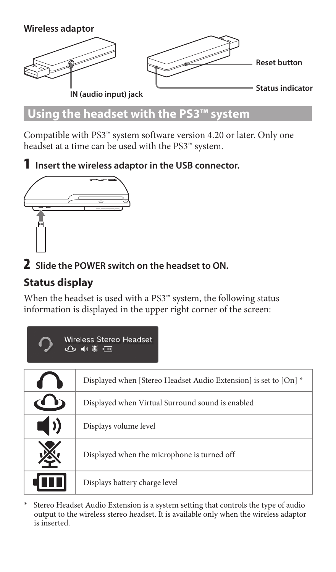

# **Using the headset with the PS3™ system**

Compatible with PS3™ system software version 4.20 or later. Only one headset at a time can be used with the PS3™ system.

1 **Insert the wireless adaptor in the USB connector.**



2 **Slide the POWER switch on the headset to ON.**

# **Status display**

When the headset is used with a PS3™ system, the following status information is displayed in the upper right corner of the screen:

| Wireless Stereo Headset<br>企● ☀ □ |                                                                  |  |
|-----------------------------------|------------------------------------------------------------------|--|
|                                   | Displayed when [Stereo Headset Audio Extension] is set to [On] * |  |
|                                   | Displayed when Virtual Surround sound is enabled                 |  |
| $\mathbf{D}$                      | Displays volume level                                            |  |
|                                   | Displayed when the microphone is turned off                      |  |
|                                   | Displays battery charge level                                    |  |

\* Stereo Headset Audio Extension is a system setting that controls the type of audio output to the wireless stereo headset. It is available only when the wireless adaptor is inserted.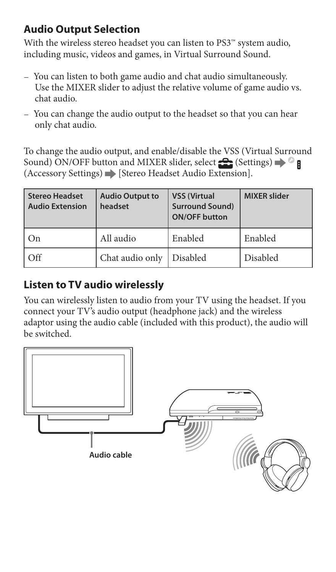## **Audio Output Selection**

With the wireless stereo headset you can listen to PS3™ system audio, including music, videos and games, in Virtual Surround Sound.

- You can listen to both game audio and chat audio simultaneously. Use the MIXER slider to adjust the relative volume of game audio vs. chat audio.
- You can change the audio output to the headset so that you can hear only chat audio.

To change the audio output, and enable/disable the VSS (Virtual Surround Sound) ON/OFF button and MIXER slider, select  $\blacksquare$  (Settings)  $\blacktriangleright$   $\heartsuit$  **f** (Accessory Settings) [Stereo Headset Audio Extension].

| <b>Stereo Headset</b><br><b>Audio Extension</b> | <b>Audio Output to</b><br>headset | <b>VSS (Virtual</b><br><b>Surround Sound)</b><br><b>ON/OFF button</b> | <b>MIXER slider</b> |
|-------------------------------------------------|-----------------------------------|-----------------------------------------------------------------------|---------------------|
| On                                              | All audio                         | Enabled                                                               | Enabled             |
| Off                                             | Chat audio only                   | Disabled                                                              | Disabled            |

### **Listen to TV audio wirelessly**

You can wirelessly listen to audio from your TV using the headset. If you connect your TV's audio output (headphone jack) and the wireless adaptor using the audio cable (included with this product), the audio will be switched.

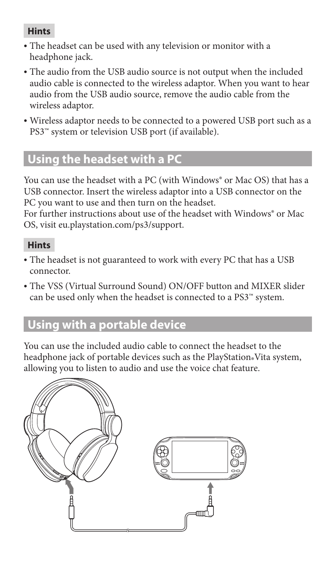#### **Hints**

- <sup>ˎ</sup> The headset can be used with any television or monitor with a headphone jack.
- <sup>ˎ</sup> The audio from the USB audio source is not output when the included audio cable is connected to the wireless adaptor. When you want to hear audio from the USB audio source, remove the audio cable from the wireless adaptor.
- <sup>ˎ</sup> Wireless adaptor needs to be connected to a powered USB port such as a PS3™ system or television USB port (if available).

# **Using the headset with a PC**

You can use the headset with a PC (with Windows<sup>®</sup> or Mac OS) that has a USB connector. Insert the wireless adaptor into a USB connector on the PC you want to use and then turn on the headset.

For further instructions about use of the headset with Windows<sup>®</sup> or Mac OS, visit eu.playstation.com/ps3/support.

#### **Hints**

- <sup>ˎ</sup> The headset is not guaranteed to work with every PC that has a USB connector.
- The VSS (Virtual Surround Sound) ON/OFF button and MIXER slider can be used only when the headset is connected to a PS3™ system.

# **Using with a portable device**

You can use the included audio cable to connect the headset to the headphone jack of portable devices such as the PlayStation® Vita system, allowing you to listen to audio and use the voice chat feature.

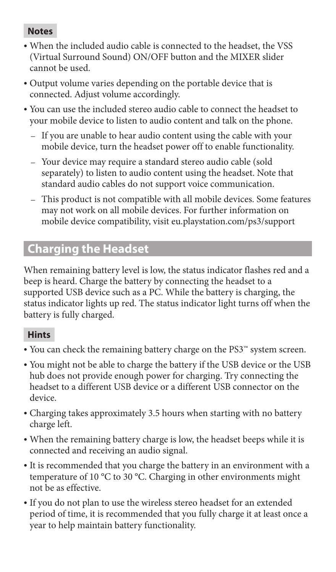#### **Notes**

- <sup>ˎ</sup> When the included audio cable is connected to the headset, the VSS (Virtual Surround Sound) ON/OFF button and the MIXER slider cannot be used.
- <sup>ˎ</sup> Output volume varies depending on the portable device that is connected. Adjust volume accordingly.
- <sup>ˎ</sup> You can use the included stereo audio cable to connect the headset to your mobile device to listen to audio content and talk on the phone.
	- If you are unable to hear audio content using the cable with your mobile device, turn the headset power off to enable functionality.
	- Your device may require a standard stereo audio cable (sold separately) to listen to audio content using the headset. Note that standard audio cables do not support voice communication.
	- This product is not compatible with all mobile devices. Some features may not work on all mobile devices. For further information on mobile device compatibility, visit eu.playstation.com/ps3/support

# **Charging the Headset**

When remaining battery level is low, the status indicator flashes red and a beep is heard. Charge the battery by connecting the headset to a supported USB device such as a PC. While the battery is charging, the status indicator lights up red. The status indicator light turns off when the battery is fully charged.

#### **Hints**

- <sup>ˎ</sup> You can check the remaining battery charge on the PS3™ system screen.
- <sup>ˎ</sup> You might not be able to charge the battery if the USB device or the USB hub does not provide enough power for charging. Try connecting the headset to a different USB device or a different USB connector on the device.
- <sup>ˎ</sup> Charging takes approximately 3.5 hours when starting with no battery charge left.
- <sup>ˎ</sup> When the remaining battery charge is low, the headset beeps while it is connected and receiving an audio signal.
- <sup>ˎ</sup> It is recommended that you charge the battery in an environment with a temperature of 10 °C to 30 °C. Charging in other environments might not be as effective.
- <sup>ˎ</sup> If you do not plan to use the wireless stereo headset for an extended period of time, it is recommended that you fully charge it at least once a year to help maintain battery functionality.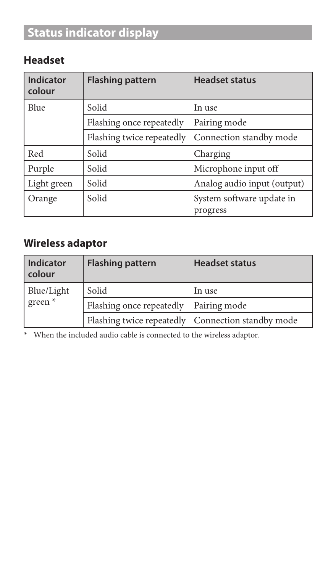# **Status indicator display**

# **Headset**

| Indicator<br>colour | <b>Flashing pattern</b>   | <b>Headset status</b>                 |
|---------------------|---------------------------|---------------------------------------|
| Blue                | Solid                     | In use                                |
|                     | Flashing once repeatedly  | Pairing mode                          |
|                     | Flashing twice repeatedly | Connection standby mode               |
| Red                 | Solid                     | Charging                              |
| Purple              | Solid                     | Microphone input off                  |
| Light green         | Solid                     | Analog audio input (output)           |
| Orange              | Solid                     | System software update in<br>progress |

# **Wireless adaptor**

| Indicator<br>colour              | <b>Flashing pattern</b>  | <b>Headset status</b>                               |
|----------------------------------|--------------------------|-----------------------------------------------------|
| Blue/Light<br>green <sup>*</sup> | Solid                    | In use                                              |
|                                  | Flashing once repeatedly | Pairing mode                                        |
|                                  |                          | Flashing twice repeatedly   Connection standby mode |

\* When the included audio cable is connected to the wireless adaptor.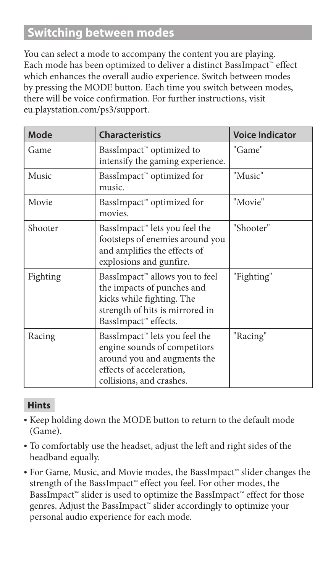# **Switching between modes**

You can select a mode to accompany the content you are playing. Each mode has been optimized to deliver a distinct BassImpact™ effect which enhances the overall audio experience. Switch between modes by pressing the MODE button. Each time you switch between modes, there will be voice confirmation. For further instructions, visit eu.playstation.com/ps3/support.

| Mode     | <b>Characteristics</b>                                                                                                                                           | <b>Voice Indicator</b> |
|----------|------------------------------------------------------------------------------------------------------------------------------------------------------------------|------------------------|
| Game     | BassImpact <sup>™</sup> optimized to<br>intensify the gaming experience.                                                                                         | "Game"                 |
| Music    | BassImpact™ optimized for<br>music.                                                                                                                              | "Music"                |
| Movie    | BassImpact™ optimized for<br>movies.                                                                                                                             | "Movie"                |
| Shooter  | BassImpact <sup>"</sup> lets you feel the<br>footsteps of enemies around you<br>and amplifies the effects of<br>explosions and gunfire.                          | "Shooter"              |
| Fighting | BassImpact <sup>™</sup> allows you to feel<br>the impacts of punches and<br>kicks while fighting. The<br>strength of hits is mirrored in<br>BassImpact" effects. | "Fighting"             |
| Racing   | BassImpact <sup>"</sup> lets you feel the<br>engine sounds of competitors<br>around you and augments the<br>effects of acceleration,<br>collisions, and crashes. | "Racing"               |

#### **Hints**

- <sup>ˎ</sup> Keep holding down the MODE button to return to the default mode (Game).
- <sup>ˎ</sup> To comfortably use the headset, adjust the left and right sides of the headband equally.
- <sup>ˎ</sup> For Game, Music, and Movie modes, the BassImpact™ slider changes the strength of the BassImpact™ effect you feel. For other modes, the BassImpact™ slider is used to optimize the BassImpact™ effect for those genres. Adjust the BassImpact™ slider accordingly to optimize your personal audio experience for each mode.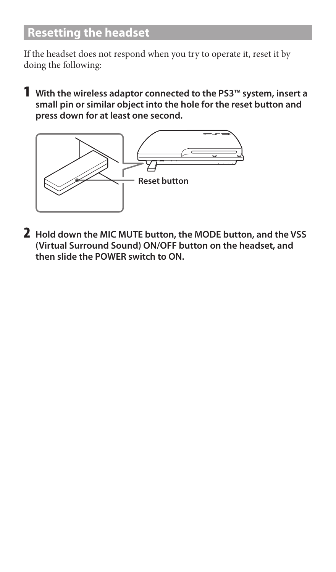# **Resetting the headset**

If the headset does not respond when you try to operate it, reset it by doing the following:

1 **With the wireless adaptor connected to the PS3™ system, insert a small pin or similar object into the hole for the reset button and press down for at least one second.**



2 **Hold down the MIC MUTE button, the MODE button, and the VSS (Virtual Surround Sound) ON/OFF button on the headset, and then slide the POWER switch to ON.**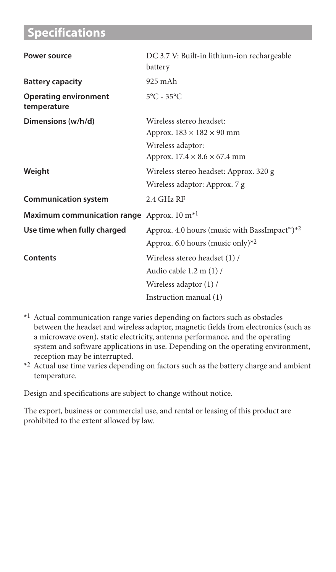# **Specifications**

| Power source                                           | DC 3.7 V: Built-in lithium-ion rechargeable<br>battery                                 |
|--------------------------------------------------------|----------------------------------------------------------------------------------------|
| <b>Battery capacity</b>                                | 925 m A h                                                                              |
| <b>Operating environment</b><br>temperature            | $5^{\circ}$ C - 35 $^{\circ}$ C                                                        |
| Dimensions (w/h/d)                                     | Wireless stereo headset:<br>Approx. $183 \times 182 \times 90$ mm<br>Wireless adaptor: |
|                                                        | Approx. $17.4 \times 8.6 \times 67.4$ mm                                               |
| Weight                                                 | Wireless stereo headset: Approx. 320 g                                                 |
|                                                        | Wireless adaptor: Approx. 7 g                                                          |
| <b>Communication system</b>                            | $2.4$ GHz RF                                                                           |
| Maximum communication range Approx. 10 m <sup>*1</sup> |                                                                                        |
| Use time when fully charged                            | Approx. 4.0 hours (music with BassImpact <sup>**</sup> )*2                             |
|                                                        | Approx. 6.0 hours (music only)*2                                                       |
| Contents                                               | Wireless stereo headset (1) /                                                          |
|                                                        | Audio cable 1.2 m (1) /                                                                |
|                                                        | Wireless adaptor (1) /                                                                 |
|                                                        | Instruction manual (1)                                                                 |

- \*1 Actual communication range varies depending on factors such as obstacles between the headset and wireless adaptor, magnetic fields from electronics (such as a microwave oven), static electricity, antenna performance, and the operating system and software applications in use. Depending on the operating environment, reception may be interrupted.
- \*2 Actual use time varies depending on factors such as the battery charge and ambient temperature.

Design and specifications are subject to change without notice.

The export, business or commercial use, and rental or leasing of this product are prohibited to the extent allowed by law.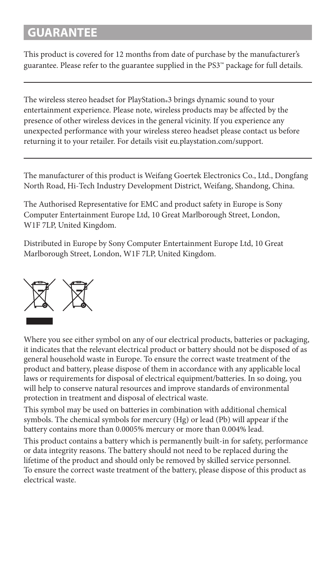# **GUARANTEE**

This product is covered for 12 months from date of purchase by the manufacturer's guarantee. Please refer to the guarantee supplied in the PS3™ package for full details.

The wireless stereo headset for PlayStation®3 brings dynamic sound to your entertainment experience. Please note, wireless products may be affected by the presence of other wireless devices in the general vicinity. If you experience any unexpected performance with your wireless stereo headset please contact us before returning it to your retailer. For details visit eu.playstation.com/support.

The manufacturer of this product is Weifang Goertek Electronics Co., Ltd., Dongfang North Road, Hi-Tech Industry Development District, Weifang, Shandong, China.

The Authorised Representative for EMC and product safety in Europe is Sony Computer Entertainment Europe Ltd, 10 Great Marlborough Street, London, W1F 7LP, United Kingdom.

Distributed in Europe by Sony Computer Entertainment Europe Ltd, 10 Great Marlborough Street, London, W1F 7LP, United Kingdom.



Where you see either symbol on any of our electrical products, batteries or packaging, it indicates that the relevant electrical product or battery should not be disposed of as general household waste in Europe. To ensure the correct waste treatment of the product and battery, please dispose of them in accordance with any applicable local laws or requirements for disposal of electrical equipment/batteries. In so doing, you will help to conserve natural resources and improve standards of environmental protection in treatment and disposal of electrical waste.

This symbol may be used on batteries in combination with additional chemical symbols. The chemical symbols for mercury (Hg) or lead (Pb) will appear if the battery contains more than 0.0005% mercury or more than 0.004% lead.

This product contains a battery which is permanently built-in for safety, performance or data integrity reasons. The battery should not need to be replaced during the lifetime of the product and should only be removed by skilled service personnel. To ensure the correct waste treatment of the battery, please dispose of this product as electrical waste.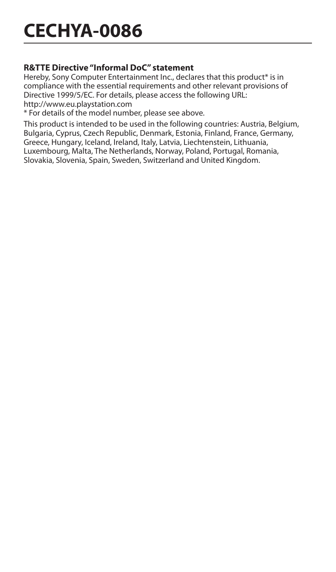# **CECHYA-0086**

#### **R&TTE Directive "Informal DoC" statement**

Hereby, Sony Computer Entertainment Inc., declares that this product\* is in compliance with the essential requirements and other relevant provisions of Directive 1999/5/EC. For details, please access the following URL: http://www.eu.playstation.com

\* For details of the model number, please see above.

This product is intended to be used in the following countries: Austria, Belgium, Bulgaria, Cyprus, Czech Republic, Denmark, Estonia, Finland, France, Germany, Greece, Hungary, Iceland, Ireland, Italy, Latvia, Liechtenstein, Lithuania, Luxembourg, Malta, The Netherlands, Norway, Poland, Portugal, Romania, Slovakia, Slovenia, Spain, Sweden, Switzerland and United Kingdom.